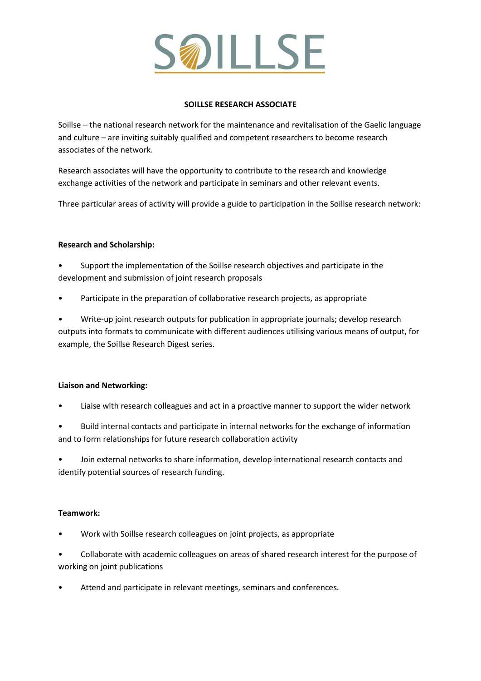

### **SOILLSE RESEARCH ASSOCIATE**

Soillse – the national research network for the maintenance and revitalisation of the Gaelic language and culture – are inviting suitably qualified and competent researchers to become research associates of the network.

Research associates will have the opportunity to contribute to the research and knowledge exchange activities of the network and participate in seminars and other relevant events.

Three particular areas of activity will provide a guide to participation in the Soillse research network:

# **Research and Scholarship:**

- Support the implementation of the Soillse research objectives and participate in the development and submission of joint research proposals
- Participate in the preparation of collaborative research projects, as appropriate

• Write-up joint research outputs for publication in appropriate journals; develop research outputs into formats to communicate with different audiences utilising various means of output, for example, the Soillse Research Digest series.

# **Liaison and Networking:**

- Liaise with research colleagues and act in a proactive manner to support the wider network
- Build internal contacts and participate in internal networks for the exchange of information and to form relationships for future research collaboration activity

• Join external networks to share information, develop international research contacts and identify potential sources of research funding.

# **Teamwork:**

• Work with Soillse research colleagues on joint projects, as appropriate

• Collaborate with academic colleagues on areas of shared research interest for the purpose of working on joint publications

• Attend and participate in relevant meetings, seminars and conferences.